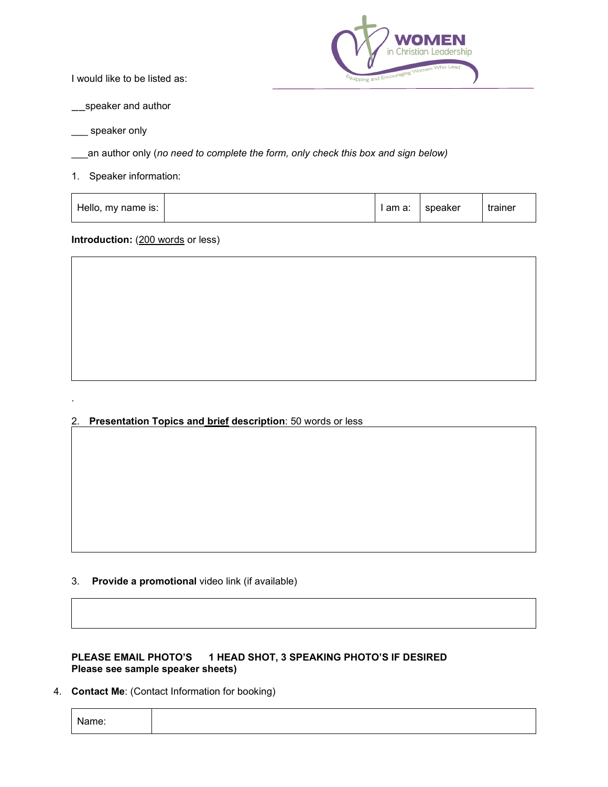I would like to be listed as:



\_\_speaker and author

speaker only

.

an author only (no need to complete the form, only check this box and sign below)

1. Speaker information:

| Hello, my name is: | am a: | speaker | trainer |
|--------------------|-------|---------|---------|
|                    |       |         |         |

#### **Introduction:** (200 words or less)



2. **Presentation Topics and brief description**: 50 words or less

3. **Provide a promotional** video link (if available)

#### **PLEASE EMAIL PHOTO'S 1 HEAD SHOT, 3 SPEAKING PHOTO'S IF DESIRED Please see sample speaker sheets)**

4. **Contact Me**: (Contact Information for booking)

Name: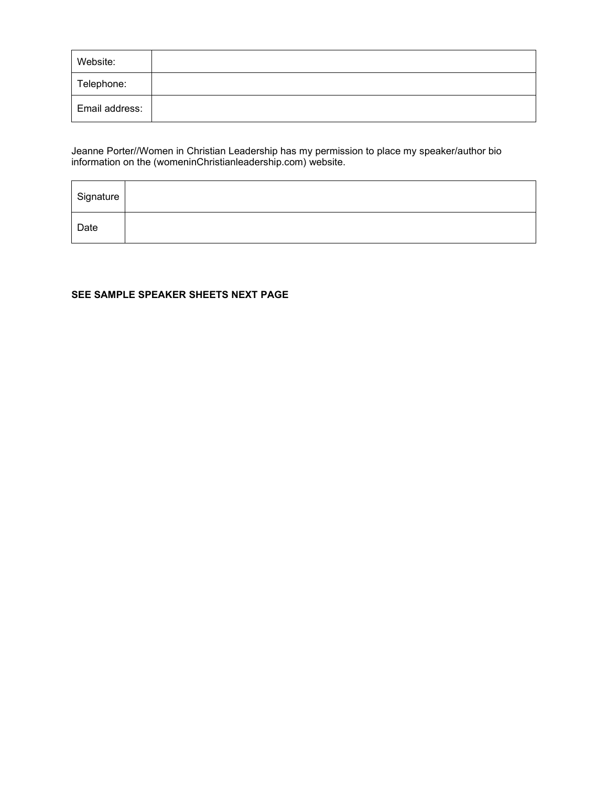| Website:       |  |
|----------------|--|
| Telephone:     |  |
| Email address: |  |

Jeanne Porter//Women in Christian Leadership has my permission to place my speaker/author bio information on the (womeninChristianleadership.com) website.

| Signature |  |
|-----------|--|
| Date      |  |

#### **SEE SAMPLE SPEAKER SHEETS NEXT PAGE**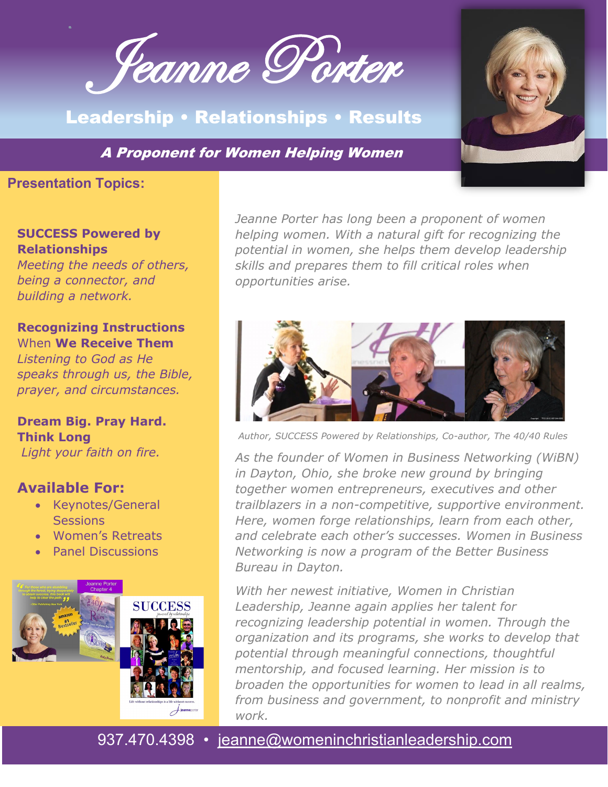Jeanne Porter

# Leadership • Relationships • Results

A Proponent for Women Helping Women

# **Presentation Topics:**

## **SUCCESS Powered by Relationships**

*Meeting the needs of others, being a connector, and building a network.*

# **Recognizing Instructions**  When **We Receive Them**

*Listening to God as He speaks through us, the Bible, prayer, and circumstances.*

## **Dream Big. Pray Hard. Think Long** *Light your faith on fire.*

# **Available For:**

- Keynotes/General **Sessions**
- Women's Retreats
- Panel Discussions



*Jeanne Porter has long been a proponent of women helping women. With a natural gift for recognizing the potential in women, she helps them develop leadership skills and prepares them to fill critical roles when opportunities arise.* 



*Author, SUCCESS Powered by Relationships, Co-author, The 40/40 Rules*

*As the founder of Women in Business Networking (WiBN) in Dayton, Ohio, she broke new ground by bringing together women entrepreneurs, executives and other trailblazers in a non-competitive, supportive environment. Here, women forge relationships, learn from each other, and celebrate each other's successes. Women in Business Networking is now a program of the Better Business Bureau in Dayton.*

*With her newest initiative, Women in Christian Leadership, Jeanne again applies her talent for recognizing leadership potential in women. Through the organization and its programs, she works to develop that potential through meaningful connections, thoughtful mentorship, and focused learning. Her mission is to broaden the opportunities for women to lead in all realms, from business and government, to nonprofit and ministry work.*